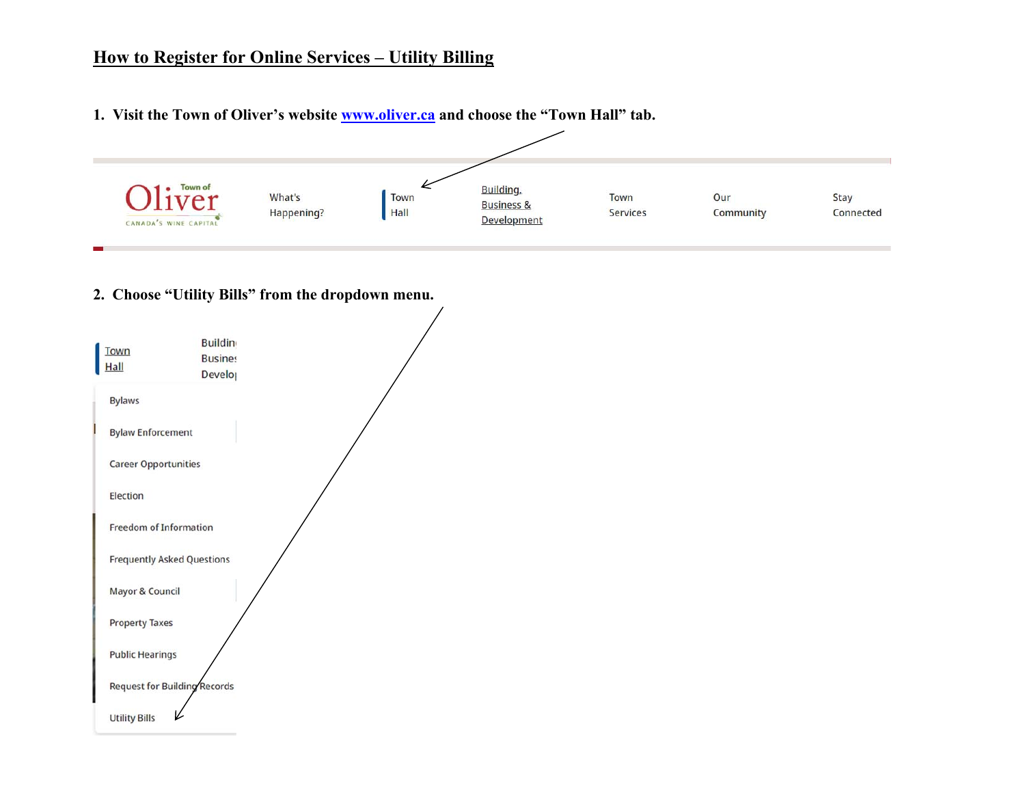## **How to Register for Online Services – Utility Billing**

**1. Visit the Town of Oliver's website www.oliver.ca and choose the "Town Hall" tab.** 



## **2. Choose "Utility Bills" from the dropdown menu.**

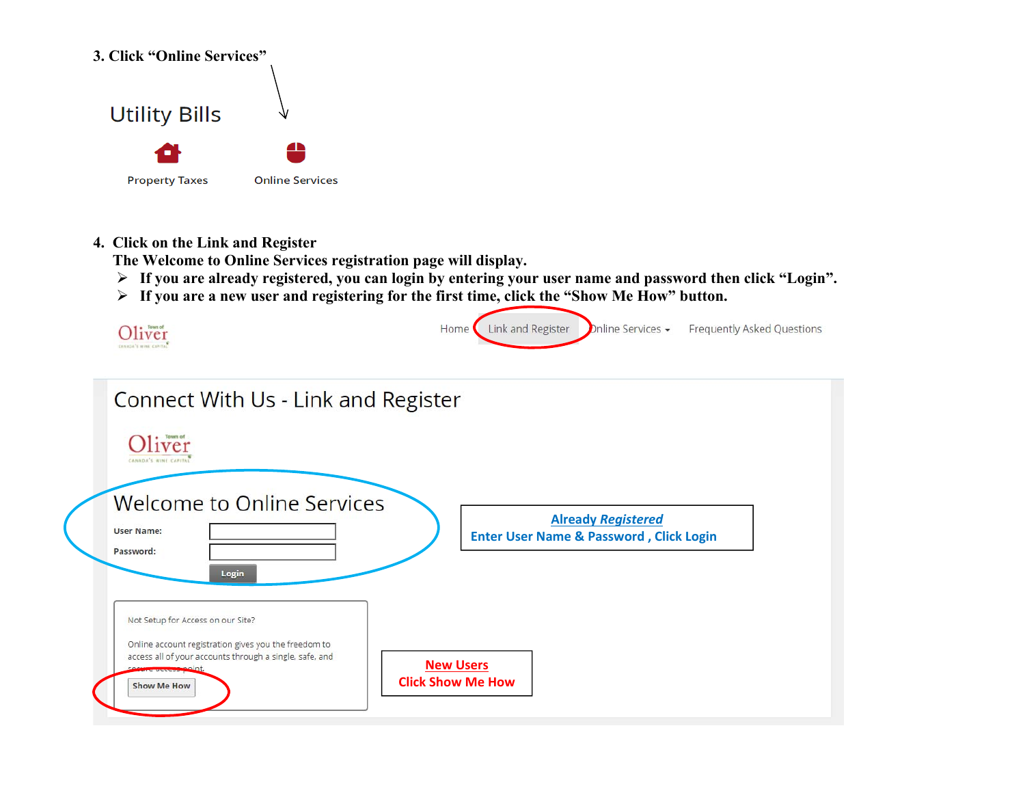

## **4. Click on the Link and Register**

 **The Welcome to Online Services registration page will display.** 

- **If you are already registered, you can login by entering your user name and password then click "Login".**
- **If you are a new user and registering for the first time, click the "Show Me How" button.**



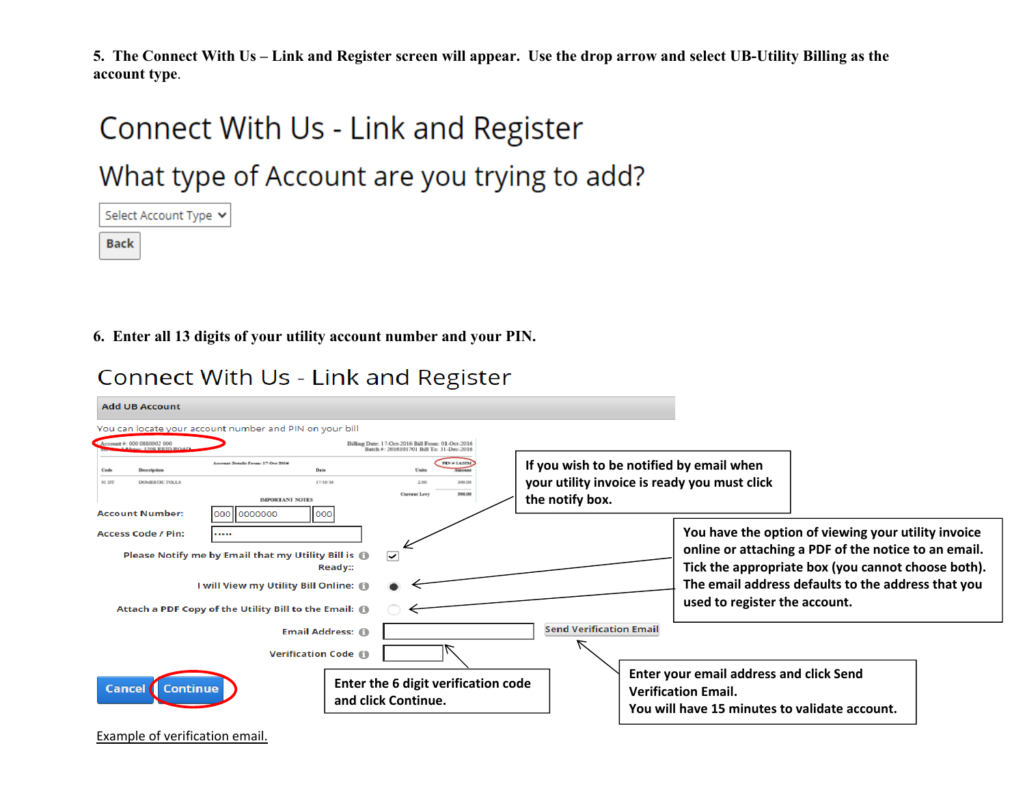**5. The Connect With Us – Link and Register screen will appear. Use the drop arrow and select UB-Utility Billing as the account type**.

# Connect With Us - Link and Register

What type of Account are you trying to add?

Select Account Type v Back

**6. Enter all 13 digits of your utility account number and your PIN.** 

**Connect With Us - Link and Register** 

| <b>Add UB Account</b>                                                                                                                         |                                                         |                                                                                              |                                                                                                             |                                                                                                                               |                                                                                                                                                                                                                         |  |
|-----------------------------------------------------------------------------------------------------------------------------------------------|---------------------------------------------------------|----------------------------------------------------------------------------------------------|-------------------------------------------------------------------------------------------------------------|-------------------------------------------------------------------------------------------------------------------------------|-------------------------------------------------------------------------------------------------------------------------------------------------------------------------------------------------------------------------|--|
| You can locate your account number and PIN on your bill                                                                                       |                                                         |                                                                                              |                                                                                                             |                                                                                                                               |                                                                                                                                                                                                                         |  |
| Account #: 000 0880002 000<br>3308 REID ROA                                                                                                   |                                                         | Billing Date: 17-Oct-2016 Bill From: 01-Oct-2016<br>Batch #: 2016101701 Bill To: 31-Dec-2016 |                                                                                                             |                                                                                                                               |                                                                                                                                                                                                                         |  |
| Account Details From: 17-Oct-2016<br>Description<br>01 DT<br><b>DOMESTIC TOLLS</b><br><b>Account Number:</b><br>000 0000000                   | Date<br>17/10/16<br><b>IMPORTANT NOTES</b><br>000       | <b>PIN #1A25M</b><br>2.00<br>300.00<br>300.00<br><b>Current Levy</b>                         | If you wish to be notified by email when<br>your utility invoice is ready you must click<br>the notify box. |                                                                                                                               |                                                                                                                                                                                                                         |  |
| <b>Access Code / Pin:</b><br><br>Please Notify me by Email that my Utility Bill is @<br>Attach a PDF Copy of the Utility Bill to the Email: @ | <b>Ready::</b><br>I will View my Utility Bill Online: 1 | $\checkmark$                                                                                 |                                                                                                             | used to register the account.                                                                                                 | You have the option of viewing your utility invoice<br>online or attaching a PDF of the notice to an email.<br>Tick the appropriate box (you cannot choose both).<br>The email address defaults to the address that you |  |
| <b>Cancel</b><br>Continue                                                                                                                     | <b>Email Address: 60</b><br><b>Verification Code 60</b> | Enter the 6 digit verification code<br>and click Continue.                                   | <b>Send Verification Email</b>                                                                              | <b>Enter your email address and click Send</b><br><b>Verification Email.</b><br>You will have 15 minutes to validate account. |                                                                                                                                                                                                                         |  |

Example of verification email.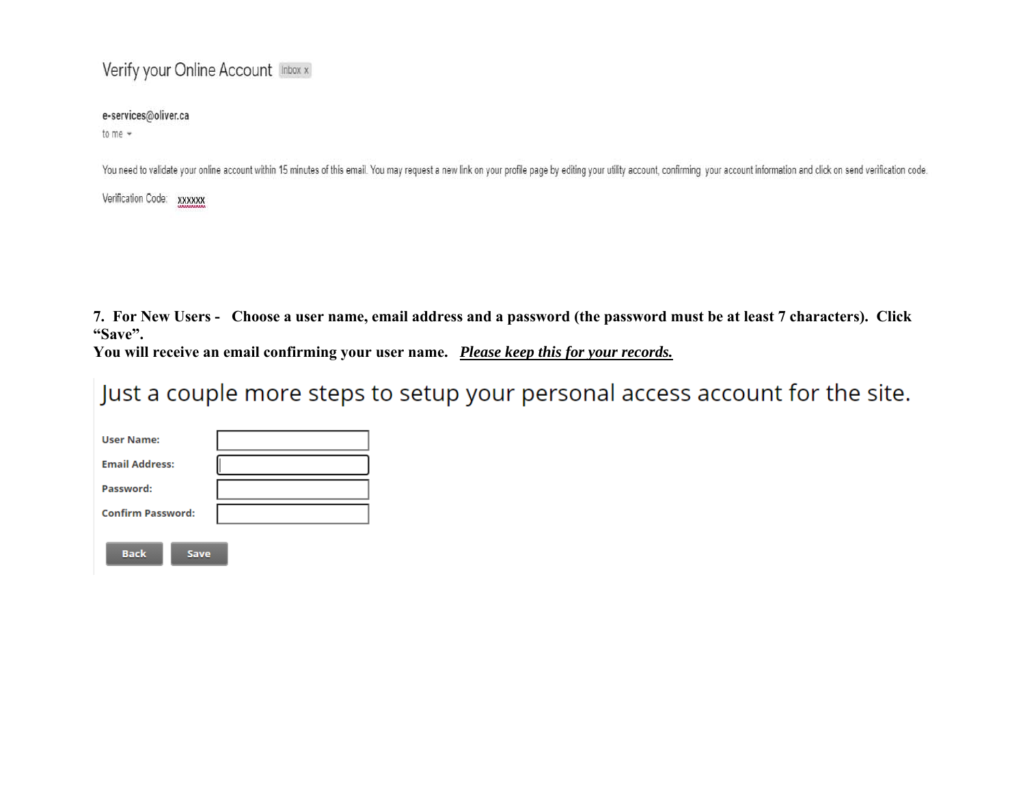## Verify your Online Account Inbox x

### e-services@oliver.ca

to me  $-$ 

You need to validate your online account within 15 minutes of this email. You may request a new link on your profile page by editing your utility account, confirming your account information and click on send verification

Verification Code: xxxxxx

**7. For New Users - Choose a user name, email address and a password (the password must be at least 7 characters). Click "Save".** 

**You will receive an email confirming your user name.** *Please keep this for your records.* 

Just a couple more steps to setup your personal access account for the site.

| <b>User Name:</b>        |  |
|--------------------------|--|
| <b>Email Address:</b>    |  |
| Password:                |  |
| <b>Confirm Password:</b> |  |
| <b>Back</b><br>Save      |  |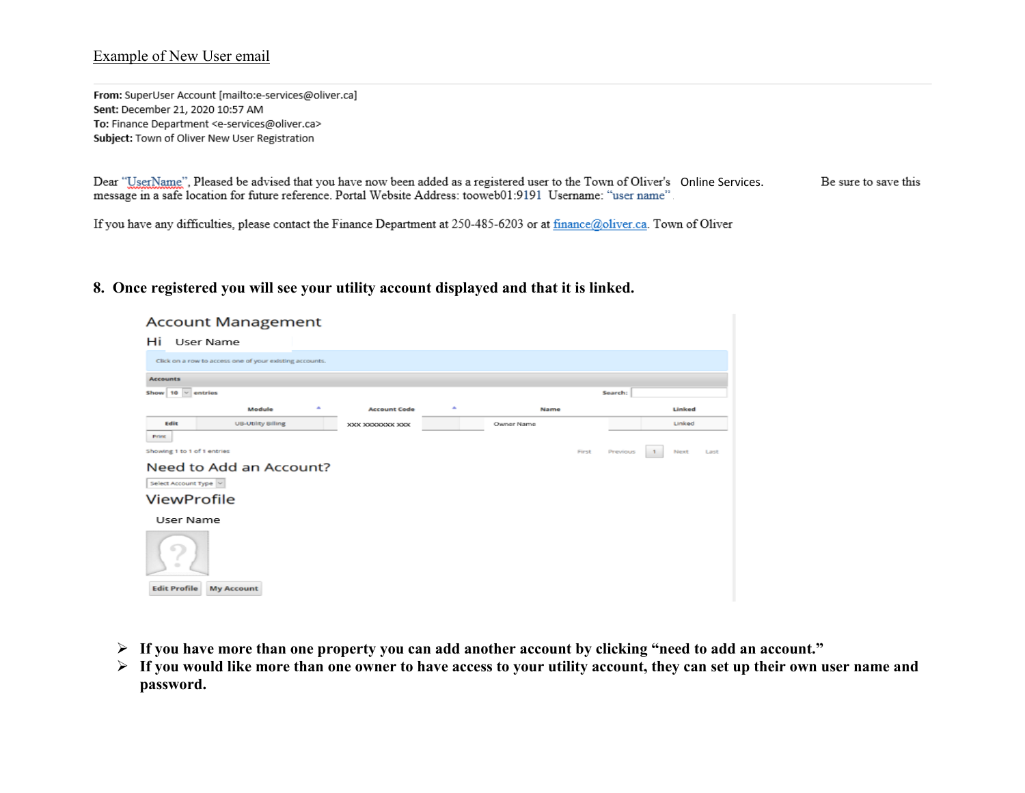#### Example of New User email

From: SuperUser Account [mailto:e-services@oliver.ca] Sent: December 21, 2020 10:57 AM To: Finance Department <e-services@oliver.ca> Subject: Town of Oliver New User Registration

Dear "UserName", Pleased be advised that you have now been added as a registered user to the Town of Oliver's Online Services. Be sure to save this message in a safe location for future reference. Portal Website Address: tooweb01:9191 Username: "user name"

If you have any difficulties, please contact the Finance Department at 250-485-6203 or at finance@oliver.ca. Town of Oliver

### **8. Once registered you will see your utility account displayed and that it is linked.**

|                             | <b>Account Management</b>                               |   |                     |   |            |       |          |        |      |
|-----------------------------|---------------------------------------------------------|---|---------------------|---|------------|-------|----------|--------|------|
| Hi                          | User Name                                               |   |                     |   |            |       |          |        |      |
|                             | Click on a row to access one of your existing accounts. |   |                     |   |            |       |          |        |      |
| <b>Accounts</b>             |                                                         |   |                     |   |            |       |          |        |      |
| Show $10 \times$ entries    |                                                         |   |                     |   |            |       | Search:  |        |      |
|                             | Module                                                  | ٠ | <b>Account Code</b> | ٠ | Name       |       |          | Linked |      |
| Edit                        | <b>UB-Utility Billing</b>                               |   | XXX XXXXXXXX XXX    |   | Owner Name |       |          | Linked |      |
| Print                       |                                                         |   |                     |   |            |       |          |        |      |
| Showing 1 to 1 of 1 entries |                                                         |   |                     |   |            | First | Previous | Next   | Last |
|                             | Need to Add an Account?                                 |   |                     |   |            |       |          |        |      |
| Select Account Type         |                                                         |   |                     |   |            |       |          |        |      |
| <b>ViewProfile</b>          |                                                         |   |                     |   |            |       |          |        |      |
| User Name                   |                                                         |   |                     |   |            |       |          |        |      |
| u<br>$\frac{1}{2}$          |                                                         |   |                     |   |            |       |          |        |      |
| <b>Edit Profile</b>         | <b>My Account</b>                                       |   |                     |   |            |       |          |        |      |

- **If you have more than one property you can add another account by clicking "need to add an account."**
- **If you would like more than one owner to have access to your utility account, they can set up their own user name and password.**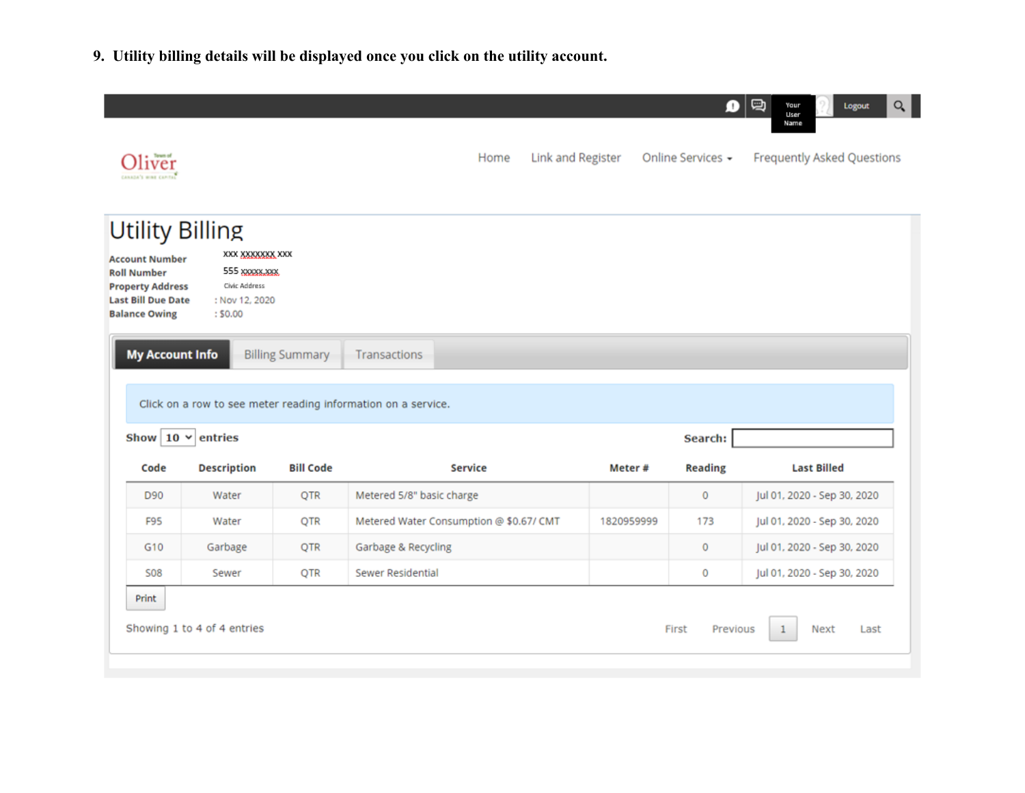**9. Utility billing details will be displayed once you click on the utility account.** 

| iver<br>CANADA'S WINE CAPITAL                                                                                               |                                                                                                            |                        | Link and Register<br>Home                                     |            | Ω<br>Online Services - | Q<br>Your<br>Logout<br>User<br>Name<br><b>Frequently Asked Questions</b> |
|-----------------------------------------------------------------------------------------------------------------------------|------------------------------------------------------------------------------------------------------------|------------------------|---------------------------------------------------------------|------------|------------------------|--------------------------------------------------------------------------|
| <b>Account Number</b><br><b>Roll Number</b><br><b>Property Address</b><br><b>Last Bill Due Date</b><br><b>Balance Owing</b> | <b>Utility Billing</b><br>XXX XXXXXXXX XXX<br>555 XXXXXXXXX<br>Civic Address<br>: Nov 12, 2020<br>: \$0.00 |                        |                                                               |            |                        |                                                                          |
| <b>My Account Info</b>                                                                                                      |                                                                                                            | <b>Billing Summary</b> | Transactions                                                  |            |                        |                                                                          |
|                                                                                                                             |                                                                                                            |                        | Click on a row to see meter reading information on a service. |            |                        |                                                                          |
| Show $10 \times$                                                                                                            | entries                                                                                                    |                        |                                                               |            | Search:                |                                                                          |
| Code                                                                                                                        | <b>Description</b>                                                                                         | <b>Bill Code</b>       | <b>Service</b>                                                | Meter#     | <b>Reading</b>         | <b>Last Billed</b>                                                       |
| D90                                                                                                                         | Water                                                                                                      | QTR                    | Metered 5/8" basic charge                                     |            | 0                      | Jul 01, 2020 - Sep 30, 2020                                              |
| <b>F95</b>                                                                                                                  | Water                                                                                                      | QTR                    | Metered Water Consumption @ \$0.67/ CMT                       | 1820959999 | 173                    | Jul 01, 2020 - Sep 30, 2020                                              |
| G10                                                                                                                         | Garbage                                                                                                    | <b>QTR</b>             | Garbage & Recycling                                           |            | $\mathbf 0$            | Jul 01, 2020 - Sep 30, 2020                                              |
| <b>S08</b>                                                                                                                  | Sewer                                                                                                      | <b>QTR</b>             | Sewer Residential                                             |            | 0                      | Jul 01, 2020 - Sep 30, 2020                                              |